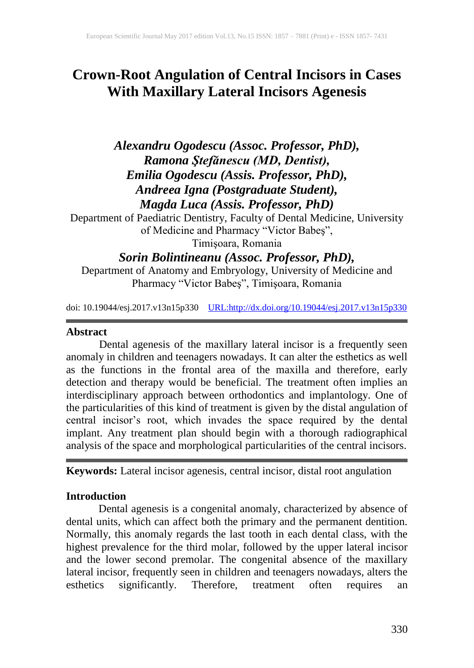# **Crown-Root Angulation of Central Incisors in Cases With Maxillary Lateral Incisors Agenesis**

*Alexandru Ogodescu (Assoc. Professor, PhD), Ramona Ştefănescu (MD, Dentist), Emilia Ogodescu (Assis. Professor, PhD), Andreea Igna (Postgraduate Student), Magda Luca (Assis. Professor, PhD)*

Department of Paediatric Dentistry, Faculty of Dental Medicine, University of Medicine and Pharmacy "Victor Babeş", Timişoara, Romania

*Sorin Bolintineanu (Assoc. Professor, PhD),* 

Department of Anatomy and Embryology, University of Medicine and Pharmacy "Victor Babeş", Timişoara, Romania

doi: 10.19044/esj.2017.v13n15p330 [URL:http://dx.doi.org/10.19044/esj.2017.v13n15p330](http://dx.doi.org/10.19044/esj.2017.v13n15p330)

#### **Abstract**

Dental agenesis of the maxillary lateral incisor is a frequently seen anomaly in children and teenagers nowadays. It can alter the esthetics as well as the functions in the frontal area of the maxilla and therefore, early detection and therapy would be beneficial. The treatment often implies an interdisciplinary approach between orthodontics and implantology. One of the particularities of this kind of treatment is given by the distal angulation of central incisor's root, which invades the space required by the dental implant. Any treatment plan should begin with a thorough radiographical analysis of the space and morphological particularities of the central incisors.

**Keywords:** Lateral incisor agenesis, central incisor, distal root angulation

## **Introduction**

Dental agenesis is a congenital anomaly, characterized by absence of dental units, which can affect both the primary and the permanent dentition. Normally, this anomaly regards the last tooth in each dental class, with the highest prevalence for the third molar, followed by the upper lateral incisor and the lower second premolar. The congenital absence of the maxillary lateral incisor, frequently seen in children and teenagers nowadays, alters the esthetics significantly. Therefore, treatment often requires an esthetics significantly. Therefore, treatment often requires an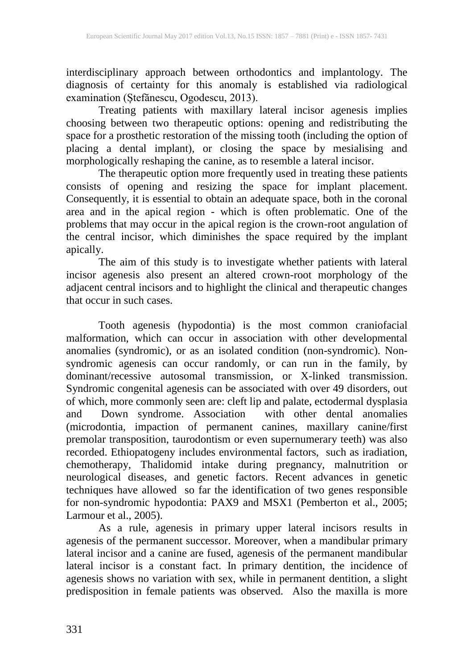interdisciplinary approach between orthodontics and implantology. The diagnosis of certainty for this anomaly is established via radiological examination (Ștefănescu, Ogodescu, 2013).

Treating patients with maxillary lateral incisor agenesis implies choosing between two therapeutic options: opening and redistributing the space for a prosthetic restoration of the missing tooth (including the option of placing a dental implant), or closing the space by mesialising and morphologically reshaping the canine, as to resemble a lateral incisor.

The therapeutic option more frequently used in treating these patients consists of opening and resizing the space for implant placement. Consequently, it is essential to obtain an adequate space, both in the coronal area and in the apical region - which is often problematic. One of the problems that may occur in the apical region is the crown-root angulation of the central incisor, which diminishes the space required by the implant apically.

The aim of this study is to investigate whether patients with lateral incisor agenesis also present an altered crown-root morphology of the adjacent central incisors and to highlight the clinical and therapeutic changes that occur in such cases.

Tooth agenesis (hypodontia) is the most common craniofacial malformation, which can occur in association with other developmental anomalies (syndromic), or as an isolated condition (non-syndromic). Nonsyndromic agenesis can occur randomly, or can run in the family, by dominant/recessive autosomal transmission, or X-linked transmission. Syndromic congenital agenesis can be associated with over 49 disorders, out of which, more commonly seen are: cleft lip and palate, ectodermal dysplasia and Down syndrome. Association with other dental anomalies (microdontia, impaction of permanent canines, maxillary canine/first premolar transposition, taurodontism or even supernumerary teeth) was also recorded. Ethiopatogeny includes environmental factors, such as iradiation, chemotherapy, Thalidomid intake during pregnancy, malnutrition or neurological diseases, and genetic factors. Recent advances in genetic techniques have allowed so far the identification of two genes responsible for non-syndromic hypodontia: PAX9 and MSX1 (Pemberton et al., 2005; Larmour et al., 2005).

As a rule, agenesis in primary upper lateral incisors results in agenesis of the permanent successor. Moreover, when a mandibular primary lateral incisor and a canine are fused, agenesis of the permanent mandibular lateral incisor is a constant fact. In primary dentition, the incidence of agenesis shows no variation with sex, while in permanent dentition, a slight predisposition in female patients was observed. Also the maxilla is more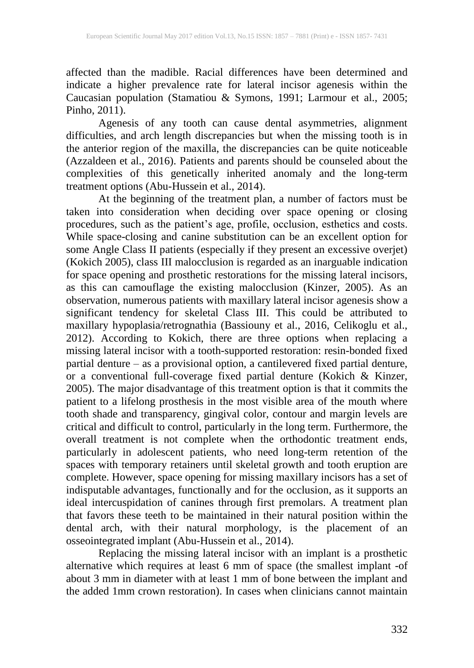affected than the madible. Racial differences have been determined and indicate a higher prevalence rate for lateral incisor agenesis within the Caucasian population (Stamatiou & Symons, 1991; Larmour et al., 2005; Pinho, 2011).

Agenesis of any tooth can cause dental asymmetries, alignment difficulties, and arch length discrepancies but when the missing tooth is in the anterior region of the maxilla, the discrepancies can be quite noticeable (Azzaldeen et al., 2016). Patients and parents should be counseled about the complexities of this genetically inherited anomaly and the long-term treatment options (Abu-Hussein et al., 2014).

At the beginning of the treatment plan, a number of factors must be taken into consideration when deciding over space opening or closing procedures, such as the patient's age, profile, occlusion, esthetics and costs. While space-closing and canine substitution can be an excellent option for some Angle Class II patients (especially if they present an excessive overjet) (Kokich 2005), class III malocclusion is regarded as an inarguable indication for space opening and prosthetic restorations for the missing lateral incisors, as this can camouflage the existing malocclusion (Kinzer, 2005). As an observation, numerous patients with maxillary lateral incisor agenesis show a significant tendency for skeletal Class III. This could be attributed to maxillary hypoplasia/retrognathia (Bassiouny et al., 2016, Celikoglu et al., 2012). According to Kokich, there are three options when replacing a missing lateral incisor with a tooth-supported restoration: resin-bonded fixed partial denture – as a provisional option, a cantilevered fixed partial denture, or a conventional full-coverage fixed partial denture (Kokich & Kinzer, 2005). The major disadvantage of this treatment option is that it commits the patient to a lifelong prosthesis in the most visible area of the mouth where tooth shade and transparency, gingival color, contour and margin levels are critical and difficult to control, particularly in the long term. Furthermore, the overall treatment is not complete when the orthodontic treatment ends, particularly in adolescent patients, who need long-term retention of the spaces with temporary retainers until skeletal growth and tooth eruption are complete. However, space opening for missing maxillary incisors has a set of indisputable advantages, functionally and for the occlusion, as it supports an ideal intercuspidation of canines through first premolars. A treatment plan that favors these teeth to be maintained in their natural position within the dental arch, with their natural morphology, is the placement of an osseointegrated implant (Abu-Hussein et al., 2014).

Replacing the missing lateral incisor with an implant is a prosthetic alternative which requires at least 6 mm of space (the smallest implant -of about 3 mm in diameter with at least 1 mm of bone between the implant and the added 1mm crown restoration). In cases when clinicians cannot maintain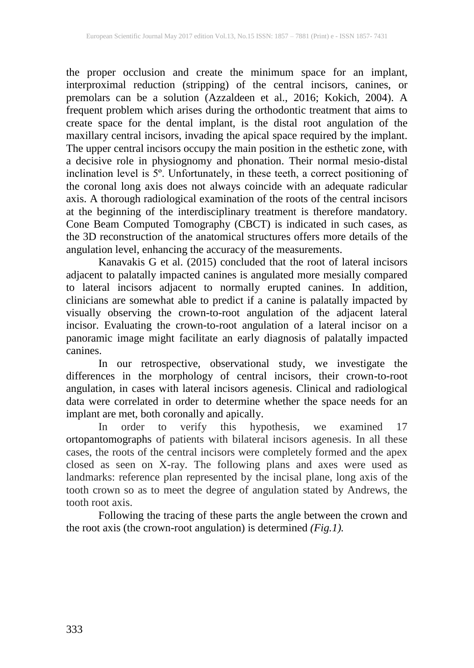the proper occlusion and create the minimum space for an implant, interproximal reduction (stripping) of the central incisors, canines, or premolars can be a solution (Azzaldeen et al., 2016; Kokich, 2004). A frequent problem which arises during the orthodontic treatment that aims to create space for the dental implant, is the distal root angulation of the maxillary central incisors, invading the apical space required by the implant. The upper central incisors occupy the main position in the esthetic zone, with a decisive role in physiognomy and phonation. Their normal mesio-distal inclination level is 5º. Unfortunately, in these teeth, a correct positioning of the coronal long axis does not always coincide with an adequate radicular axis. A thorough radiological examination of the roots of the central incisors at the beginning of the interdisciplinary treatment is therefore mandatory. Cone Beam Computed Tomography (CBCT) is indicated in such cases, as the 3D reconstruction of the anatomical structures offers more details of the angulation level, enhancing the accuracy of the measurements.

Kanavakis G et al. (2015) concluded that the root of lateral incisors adjacent to palatally impacted canines is angulated more mesially compared to lateral incisors adjacent to normally erupted canines. In addition, clinicians are somewhat able to predict if a canine is palatally impacted by visually observing the crown-to-root angulation of the adjacent lateral incisor. Evaluating the crown-to-root angulation of a lateral incisor on a panoramic image might facilitate an early diagnosis of palatally impacted canines.

In our retrospective, observational study, we investigate the differences in the morphology of central incisors, their crown-to-root angulation, in cases with lateral incisors agenesis. Clinical and radiological data were correlated in order to determine whether the space needs for an implant are met, both coronally and apically.

In order to verify this hypothesis, we examined 17 ortopantomographs of patients with bilateral incisors agenesis. In all these cases, the roots of the central incisors were completely formed and the apex closed as seen on X-ray. The following plans and axes were used as landmarks: reference plan represented by the incisal plane, long axis of the tooth crown so as to meet the degree of angulation stated by Andrews, the tooth root axis.

Following the tracing of these parts the angle between the crown and the root axis (the crown-root angulation) is determined *(Fig.1).*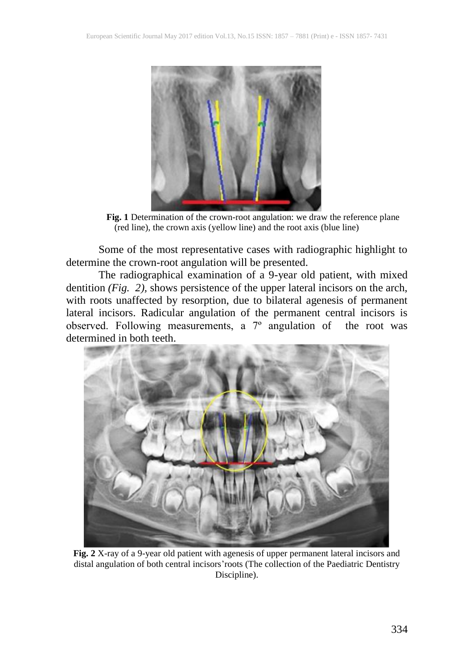

**Fig. 1** Determination of the crown-root angulation: we draw the reference plane (red line), the crown axis (yellow line) and the root axis (blue line)

Some of the most representative cases with radiographic highlight to determine the crown-root angulation will be presented.

The radiographical examination of a 9-year old patient, with mixed dentition *(Fig. 2),* shows persistence of the upper lateral incisors on the arch, with roots unaffected by resorption, due to bilateral agenesis of permanent lateral incisors. Radicular angulation of the permanent central incisors is observed. Following measurements, a 7º angulation of the root was determined in both teeth.



**Fig. 2** X-ray of a 9-year old patient with agenesis of upper permanent lateral incisors and distal angulation of both central incisors'roots (The collection of the Paediatric Dentistry Discipline).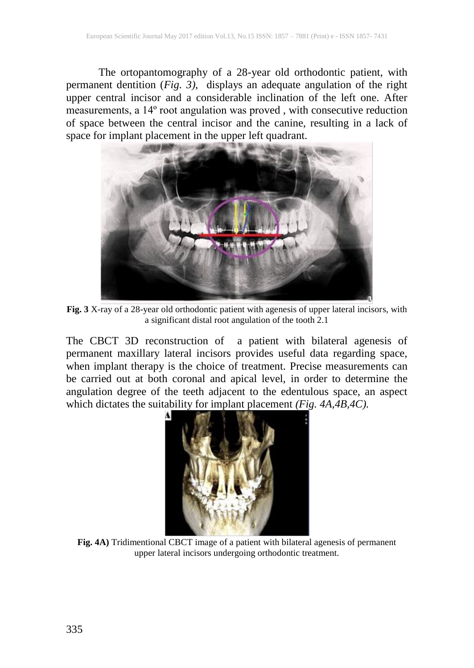The ortopantomography of a 28-year old orthodontic patient, with permanent dentition (*Fig. 3)*, displays an adequate angulation of the right upper central incisor and a considerable inclination of the left one. After measurements, a 14<sup>°</sup> root angulation was proved, with consecutive reduction of space between the central incisor and the canine, resulting in a lack of space for implant placement in the upper left quadrant.



**Fig. 3** X-ray of a 28-year old orthodontic patient with agenesis of upper lateral incisors, with a significant distal root angulation of the tooth 2.1

The CBCT 3D reconstruction of a patient with bilateral agenesis of permanent maxillary lateral incisors provides useful data regarding space, when implant therapy is the choice of treatment. Precise measurements can be carried out at both coronal and apical level, in order to determine the angulation degree of the teeth adjacent to the edentulous space, an aspect which dictates the suitability for implant placement *(Fig. 4A,4B,4C)*.



**Fig. 4A)** Tridimentional CBCT image of a patient with bilateral agenesis of permanent upper lateral incisors undergoing orthodontic treatment.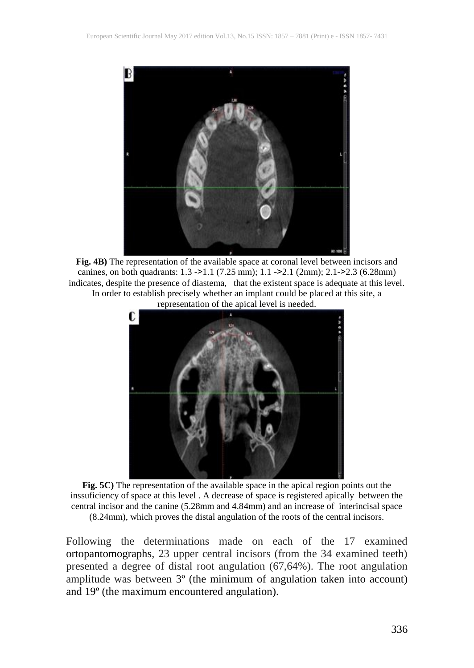

**Fig. 4B)** The representation of the available space at coronal level between incisors and canines, on both quadrants: 1.3 ->1.1 (7.25 mm); 1.1 ->2.1 (2mm); 2.1->2.3 (6.28mm) indicates, despite the presence of diastema, that the existent space is adequate at this level. In order to establish precisely whether an implant could be placed at this site, a representation of the apical level is needed.



**Fig. 5C)** The representation of the available space in the apical region points out the inssuficiency of space at this level . A decrease of space is registered apically between the central incisor and the canine (5.28mm and 4.84mm) and an increase of interincisal space (8.24mm), which proves the distal angulation of the roots of the central incisors.

Following the determinations made on each of the 17 examined ortopantomographs, 23 upper central incisors (from the 34 examined teeth) presented a degree of distal root angulation (67,64%). The root angulation amplitude was between 3º (the minimum of angulation taken into account) and 19º (the maximum encountered angulation).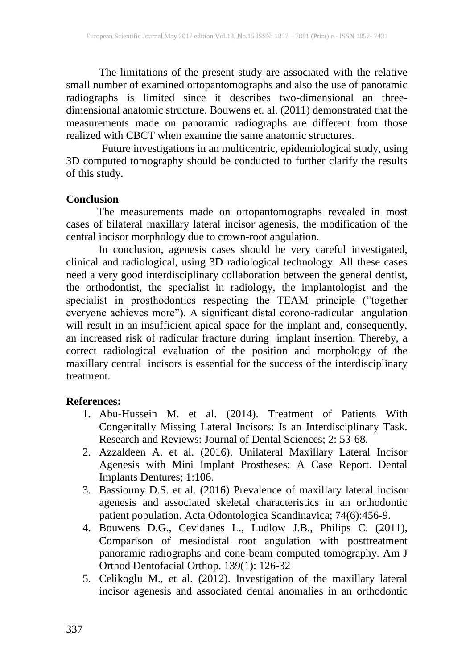The limitations of the present study are associated with the relative small number of examined ortopantomographs and also the use of panoramic radiographs is limited since it describes two-dimensional an threedimensional anatomic structure. Bouwens et. al. (2011) demonstrated that the measurements made on panoramic radiographs are different from those realized with CBCT when examine the same anatomic structures.

 Future investigations in an multicentric, epidemiological study, using 3D computed tomography should be conducted to further clarify the results of this study.

#### **Conclusion**

The measurements made on ortopantomographs revealed in most cases of bilateral maxillary lateral incisor agenesis, the modification of the central incisor morphology due to crown-root angulation.

In conclusion, agenesis cases should be very careful investigated, clinical and radiological, using 3D radiological technology. All these cases need a very good interdisciplinary collaboration between the general dentist, the orthodontist, the specialist in radiology, the implantologist and the specialist in prosthodontics respecting the TEAM principle ("together everyone achieves more"). A significant distal corono-radicular angulation will result in an insufficient apical space for the implant and, consequently, an increased risk of radicular fracture during implant insertion. Thereby, a correct radiological evaluation of the position and morphology of the maxillary central incisors is essential for the success of the interdisciplinary treatment.

## **References:**

- 1. Abu-Hussein M. et al. (2014). Treatment of Patients With Congenitally Missing Lateral Incisors: Is an Interdisciplinary Task. Research and Reviews: Journal of Dental Sciences; 2: 53-68.
- 2. Azzaldeen A. et al. (2016). Unilateral Maxillary Lateral Incisor Agenesis with Mini Implant Prostheses: A Case Report. Dental Implants Dentures; 1:106.
- 3. Bassiouny D.S. et al. (2016) Prevalence of maxillary lateral incisor agenesis and associated skeletal characteristics in an orthodontic patient population. Acta Odontologica Scandinavica; 74(6):456-9.
- 4. Bouwens D.G., Cevidanes L., Ludlow J.B., Philips C. (2011), Comparison of mesiodistal root angulation with posttreatment panoramic radiographs and cone-beam computed tomography. Am J Orthod Dentofacial Orthop. 139(1): 126-32
- 5. Celikoglu M., et al. (2012). Investigation of the maxillary lateral incisor agenesis and associated dental anomalies in an orthodontic